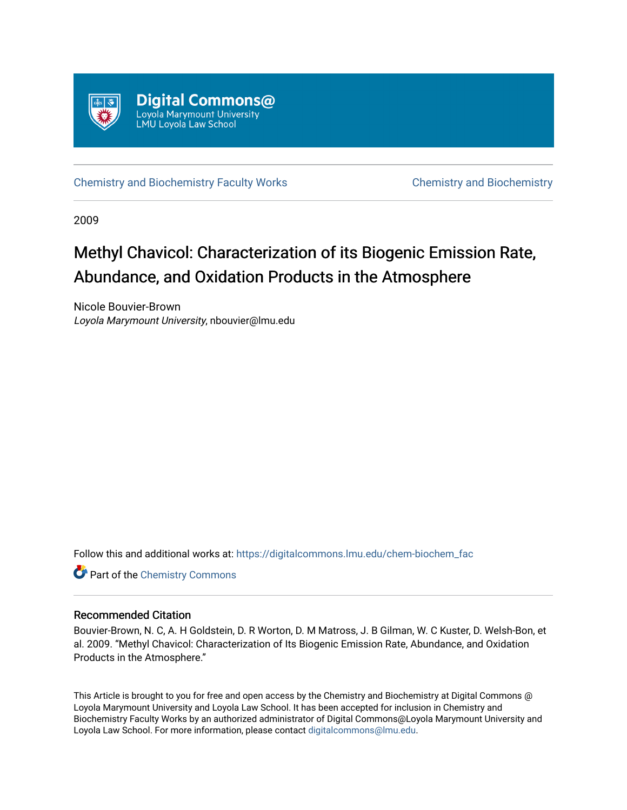

[Chemistry and Biochemistry Faculty Works](https://digitalcommons.lmu.edu/chem-biochem_fac) [Chemistry and Biochemistry](https://digitalcommons.lmu.edu/chem-biochem) 

2009

# Methyl Chavicol: Characterization of its Biogenic Emission Rate, Abundance, and Oxidation Products in the Atmosphere

Nicole Bouvier-Brown Loyola Marymount University, nbouvier@lmu.edu

Follow this and additional works at: [https://digitalcommons.lmu.edu/chem-biochem\\_fac](https://digitalcommons.lmu.edu/chem-biochem_fac?utm_source=digitalcommons.lmu.edu%2Fchem-biochem_fac%2F24&utm_medium=PDF&utm_campaign=PDFCoverPages) 

**Part of the Chemistry Commons** 

# Recommended Citation

Bouvier-Brown, N. C, A. H Goldstein, D. R Worton, D. M Matross, J. B Gilman, W. C Kuster, D. Welsh-Bon, et al. 2009. "Methyl Chavicol: Characterization of Its Biogenic Emission Rate, Abundance, and Oxidation Products in the Atmosphere."

This Article is brought to you for free and open access by the Chemistry and Biochemistry at Digital Commons @ Loyola Marymount University and Loyola Law School. It has been accepted for inclusion in Chemistry and Biochemistry Faculty Works by an authorized administrator of Digital Commons@Loyola Marymount University and Loyola Law School. For more information, please contact [digitalcommons@lmu.edu](mailto:digitalcommons@lmu.edu).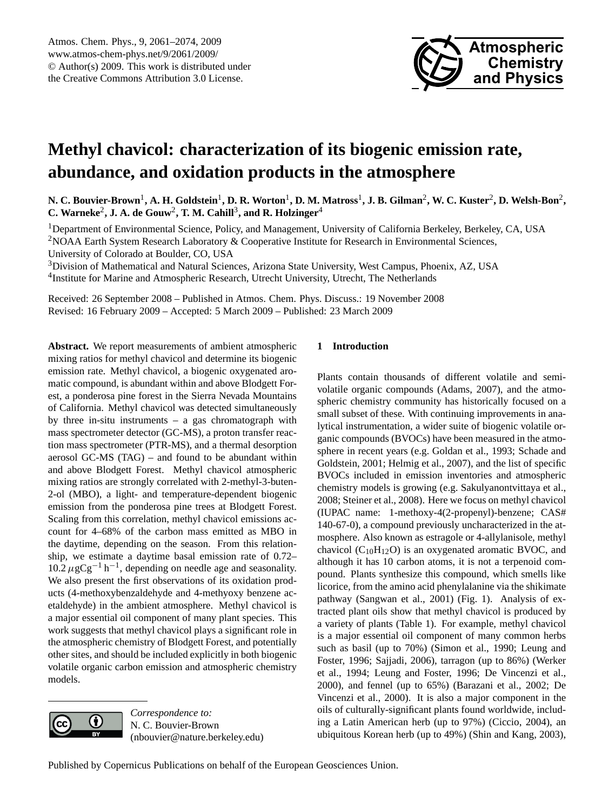

# <span id="page-1-0"></span>**Methyl chavicol: characterization of its biogenic emission rate, abundance, and oxidation products in the atmosphere**

 $N$ . C. Bouvier-Brown<sup>1</sup>, A. H. Goldstein<sup>1</sup>, D. R. Worton<sup>1</sup>, D. M. Matross<sup>1</sup>, J. B. Gilman<sup>2</sup>, W. C. Kuster<sup>2</sup>, D. Welsh-Bon<sup>2</sup>, **C. Warneke**<sup>2</sup> **, J. A. de Gouw**<sup>2</sup> **, T. M. Cahill**<sup>3</sup> **, and R. Holzinger**<sup>4</sup>

<sup>1</sup>Department of Environmental Science, Policy, and Management, University of California Berkeley, Berkeley, CA, USA <sup>2</sup>NOAA Earth System Research Laboratory & Cooperative Institute for Research in Environmental Sciences, University of Colorado at Boulder, CO, USA

<sup>3</sup>Division of Mathematical and Natural Sciences, Arizona State University, West Campus, Phoenix, AZ, USA <sup>4</sup>Institute for Marine and Atmospheric Research, Utrecht University, Utrecht, The Netherlands

Received: 26 September 2008 – Published in Atmos. Chem. Phys. Discuss.: 19 November 2008 Revised: 16 February 2009 – Accepted: 5 March 2009 – Published: 23 March 2009

**Abstract.** We report measurements of ambient atmospheric mixing ratios for methyl chavicol and determine its biogenic emission rate. Methyl chavicol, a biogenic oxygenated aromatic compound, is abundant within and above Blodgett Forest, a ponderosa pine forest in the Sierra Nevada Mountains of California. Methyl chavicol was detected simultaneously by three in-situ instruments – a gas chromatograph with mass spectrometer detector (GC-MS), a proton transfer reaction mass spectrometer (PTR-MS), and a thermal desorption aerosol GC-MS (TAG) – and found to be abundant within and above Blodgett Forest. Methyl chavicol atmospheric mixing ratios are strongly correlated with 2-methyl-3-buten-2-ol (MBO), a light- and temperature-dependent biogenic emission from the ponderosa pine trees at Blodgett Forest. Scaling from this correlation, methyl chavicol emissions account for 4–68% of the carbon mass emitted as MBO in the daytime, depending on the season. From this relationship, we estimate a daytime basal emission rate of 0.72–  $10.2 \,\mu$ gCg<sup>-1</sup> h<sup>-1</sup>, depending on needle age and seasonality. We also present the first observations of its oxidation products (4-methoxybenzaldehyde and 4-methyoxy benzene acetaldehyde) in the ambient atmosphere. Methyl chavicol is a major essential oil component of many plant species. This work suggests that methyl chavicol plays a significant role in the atmospheric chemistry of Blodgett Forest, and potentially other sites, and should be included explicitly in both biogenic volatile organic carbon emission and atmospheric chemistry models.



*Correspondence to:* N. C. Bouvier-Brown (nbouvier@nature.berkeley.edu)

# **1 Introduction**

Plants contain thousands of different volatile and semivolatile organic compounds (Adams, 2007), and the atmospheric chemistry community has historically focused on a small subset of these. With continuing improvements in analytical instrumentation, a wider suite of biogenic volatile organic compounds (BVOCs) have been measured in the atmosphere in recent years (e.g. Goldan et al., 1993; Schade and Goldstein, 2001; Helmig et al., 2007), and the list of specific BVOCs included in emission inventories and atmospheric chemistry models is growing (e.g. Sakulyanontvittaya et al., 2008; Steiner et al., 2008). Here we focus on methyl chavicol (IUPAC name: 1-methoxy-4(2-propenyl)-benzene; CAS# 140-67-0), a compound previously uncharacterized in the atmosphere. Also known as estragole or 4-allylanisole, methyl chavicol ( $C_{10}H_{12}O$ ) is an oxygenated aromatic BVOC, and although it has 10 carbon atoms, it is not a terpenoid compound. Plants synthesize this compound, which smells like licorice, from the amino acid phenylalanine via the shikimate pathway (Sangwan et al., 2001) (Fig. 1). Analysis of extracted plant oils show that methyl chavicol is produced by a variety of plants (Table 1). For example, methyl chavicol is a major essential oil component of many common herbs such as basil (up to 70%) (Simon et al., 1990; Leung and Foster, 1996; Sajjadi, 2006), tarragon (up to 86%) (Werker et al., 1994; Leung and Foster, 1996; De Vincenzi et al., 2000), and fennel (up to 65%) (Barazani et al., 2002; De Vincenzi et al., 2000). It is also a major component in the oils of culturally-significant plants found worldwide, including a Latin American herb (up to 97%) (Ciccio, 2004), an ubiquitous Korean herb (up to 49%) (Shin and Kang, 2003),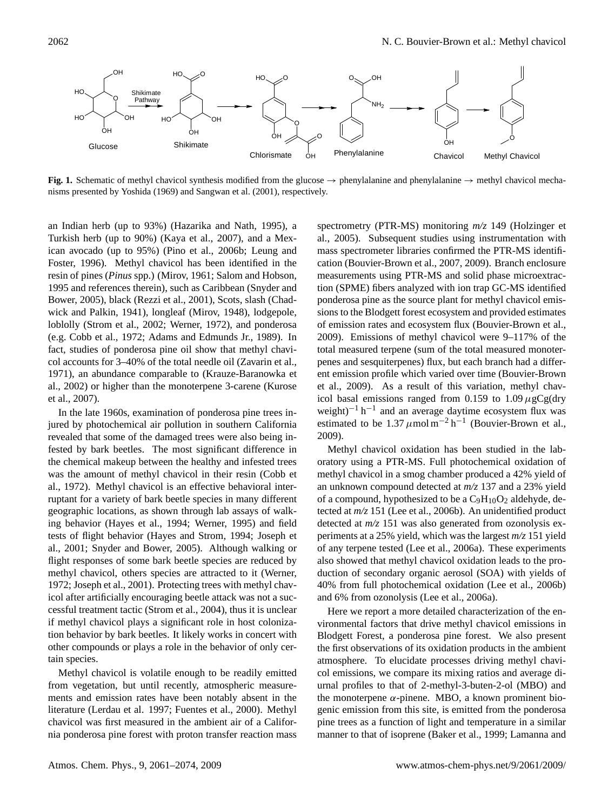

**Fig. 1.** Schematic of methyl chavicol synthesis modified from the glucose → phenylalanine and phenylalanine → methyl chavicol mechanisms presented by Yoshida (1969) and Sangwan et al. (2001), respectively.

an Indian herb (up to 93%) (Hazarika and Nath, 1995), a Turkish herb (up to 90%) (Kaya et al., 2007), and a Mexican avocado (up to 95%) (Pino et al., 2006b; Leung and Foster, 1996). Methyl chavicol has been identified in the resin of pines (*Pinus* spp.) (Mirov, 1961; Salom and Hobson, 1995 and references therein), such as Caribbean (Snyder and Bower, 2005), black (Rezzi et al., 2001), Scots, slash (Chadwick and Palkin, 1941), longleaf (Mirov, 1948), lodgepole, loblolly (Strom et al., 2002; Werner, 1972), and ponderosa (e.g. Cobb et al., 1972; Adams and Edmunds Jr., 1989). In fact, studies of ponderosa pine oil show that methyl chavicol accounts for 3–40% of the total needle oil (Zavarin et al., 1971), an abundance comparable to (Krauze-Baranowka et al., 2002) or higher than the monoterpene 3-carene (Kurose et al., 2007).

In the late 1960s, examination of ponderosa pine trees injured by photochemical air pollution in southern California revealed that some of the damaged trees were also being infested by bark beetles. The most significant difference in the chemical makeup between the healthy and infested trees was the amount of methyl chavicol in their resin (Cobb et al., 1972). Methyl chavicol is an effective behavioral interruptant for a variety of bark beetle species in many different geographic locations, as shown through lab assays of walking behavior (Hayes et al., 1994; Werner, 1995) and field tests of flight behavior (Hayes and Strom, 1994; Joseph et al., 2001; Snyder and Bower, 2005). Although walking or flight responses of some bark beetle species are reduced by methyl chavicol, others species are attracted to it (Werner, 1972; Joseph et al., 2001). Protecting trees with methyl chavicol after artificially encouraging beetle attack was not a successful treatment tactic (Strom et al., 2004), thus it is unclear if methyl chavicol plays a significant role in host colonization behavior by bark beetles. It likely works in concert with other compounds or plays a role in the behavior of only certain species.

Methyl chavicol is volatile enough to be readily emitted from vegetation, but until recently, atmospheric measurements and emission rates have been notably absent in the literature (Lerdau et al. 1997; Fuentes et al., 2000). Methyl chavicol was first measured in the ambient air of a California ponderosa pine forest with proton transfer reaction mass spectrometry (PTR-MS) monitoring *m/z* 149 (Holzinger et al., 2005). Subsequent studies using instrumentation with mass spectrometer libraries confirmed the PTR-MS identification (Bouvier-Brown et al., 2007, 2009). Branch enclosure measurements using PTR-MS and solid phase microextraction (SPME) fibers analyzed with ion trap GC-MS identified ponderosa pine as the source plant for methyl chavicol emissions to the Blodgett forest ecosystem and provided estimates of emission rates and ecosystem flux (Bouvier-Brown et al., 2009). Emissions of methyl chavicol were 9–117% of the total measured terpene (sum of the total measured monoterpenes and sesquiterpenes) flux, but each branch had a different emission profile which varied over time (Bouvier-Brown et al., 2009). As a result of this variation, methyl chavicol basal emissions ranged from 0.159 to 1.09  $\mu$ gCg(dry weight)<sup>-1</sup> h<sup>-1</sup> and an average daytime ecosystem flux was estimated to be  $1.37 \mu$ mol m<sup>-2</sup> h<sup>-1</sup> (Bouvier-Brown et al., 2009).

Methyl chavicol oxidation has been studied in the laboratory using a PTR-MS. Full photochemical oxidation of methyl chavicol in a smog chamber produced a 42% yield of an unknown compound detected at *m/z* 137 and a 23% yield of a compound, hypothesized to be a  $C_9H_{10}O_2$  aldehyde, detected at *m/z* 151 (Lee et al., 2006b). An unidentified product detected at *m/z* 151 was also generated from ozonolysis experiments at a 25% yield, which was the largest *m/z* 151 yield of any terpene tested (Lee et al., 2006a). These experiments also showed that methyl chavicol oxidation leads to the production of secondary organic aerosol (SOA) with yields of 40% from full photochemical oxidation (Lee et al., 2006b) and 6% from ozonolysis (Lee et al., 2006a).

Here we report a more detailed characterization of the environmental factors that drive methyl chavicol emissions in Blodgett Forest, a ponderosa pine forest. We also present the first observations of its oxidation products in the ambient atmosphere. To elucidate processes driving methyl chavicol emissions, we compare its mixing ratios and average diurnal profiles to that of 2-methyl-3-buten-2-ol (MBO) and the monoterpene  $α$ -pinene. MBO, a known prominent biogenic emission from this site, is emitted from the ponderosa pine trees as a function of light and temperature in a similar manner to that of isoprene (Baker et al., 1999; Lamanna and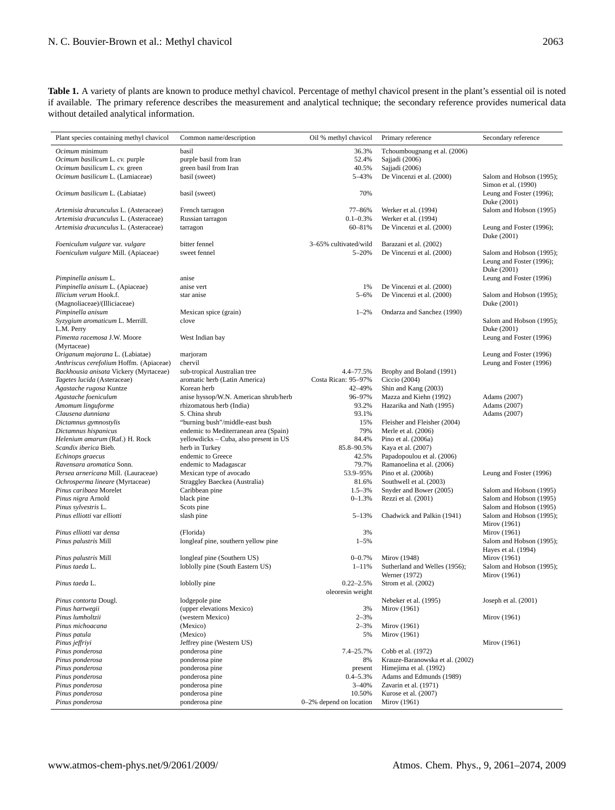**Table 1.** A variety of plants are known to produce methyl chavicol. Percentage of methyl chavicol present in the plant's essential oil is noted if available. The primary reference describes the measurement and analytical technique; the secondary reference provides numerical data without detailed analytical information.

| Plant species containing methyl chavicol     | Common name/description                                           | Oil % methyl chavicol     | Primary reference                                  | Secondary reference                                |
|----------------------------------------------|-------------------------------------------------------------------|---------------------------|----------------------------------------------------|----------------------------------------------------|
|                                              |                                                                   |                           |                                                    |                                                    |
| Ocimum minimum                               | basil                                                             | 36.3%                     | Tchoumbougnang et al. (2006)                       |                                                    |
| Ocimum basilicum L. cv. purple               | purple basil from Iran                                            | 52.4%                     | Sajjadi (2006)                                     |                                                    |
| Ocimum basilicum L. cv. green                | green basil from Iran                                             | 40.5%                     | Sajjadi (2006)                                     |                                                    |
| Ocimum basilicum L. (Lamiaceae)              | basil (sweet)                                                     | 5-43%                     | De Vincenzi et al. (2000)                          | Salom and Hobson (1995);<br>Simon et al. (1990)    |
| Ocimum basilicum L. (Labiatae)               | basil (sweet)                                                     | 70%                       |                                                    | Leung and Foster (1996);                           |
|                                              |                                                                   |                           |                                                    | Duke (2001)                                        |
| Artemisia dracunculus L. (Asteraceae)        | French tarragon                                                   | 77-86%                    | Werker et al. (1994)                               | Salom and Hobson (1995)                            |
| Artemisia dracunculus L. (Asteraceae)        | Russian tarragon                                                  | $0.1 - 0.3\%$             | Werker et al. (1994)                               |                                                    |
| Artemisia dracunculus L. (Asteraceae)        | tarragon                                                          | 60-81%                    | De Vincenzi et al. (2000)                          | Leung and Foster (1996);                           |
|                                              |                                                                   |                           |                                                    | Duke (2001)                                        |
| Foeniculum vulgare var. vulgare              | bitter fennel                                                     | 3-65% cultivated/wild     | Barazani et al. (2002)                             |                                                    |
| Foeniculum vulgare Mill. (Apiaceae)          | sweet fennel                                                      | $5 - 20%$                 | De Vincenzi et al. (2000)                          | Salom and Hobson (1995);                           |
|                                              |                                                                   |                           |                                                    | Leung and Foster (1996);                           |
| Pimpinella anisum L.                         | anise                                                             |                           |                                                    | Duke (2001)<br>Leung and Foster (1996)             |
| Pimpinella anisum L. (Apiaceae)              | anise vert                                                        | 1%                        | De Vincenzi et al. (2000)                          |                                                    |
| Illicium verum Hook.f.                       | star anise                                                        | $5 - 6%$                  | De Vincenzi et al. (2000)                          | Salom and Hobson (1995);                           |
| (Magnoliaceae)/(Illiciaceae)                 |                                                                   |                           |                                                    | Duke (2001)                                        |
| Pimpinella anisum                            | Mexican spice (grain)                                             | $1 - 2\%$                 | Ondarza and Sanchez (1990)                         |                                                    |
| Syzygium aromaticum L. Merrill.              | clove                                                             |                           |                                                    | Salom and Hobson (1995);                           |
| L.M. Perry                                   |                                                                   |                           |                                                    | Duke (2001)                                        |
| Pimenta racemosa J.W. Moore                  | West Indian bay                                                   |                           |                                                    | Leung and Foster (1996)                            |
| (Myrtaceae)                                  |                                                                   |                           |                                                    |                                                    |
| Origanum majorana L. (Labiatae)              | marjoram                                                          |                           |                                                    | Leung and Foster (1996)                            |
| Anthriscus cerefolium Hoffm. (Apiaceae)      | chervil                                                           |                           |                                                    | Leung and Foster (1996)                            |
| Backhousia anisata Vickery (Myrtaceae)       | sub-tropical Australian tree                                      | 4.4-77.5%                 | Brophy and Boland (1991)                           |                                                    |
| Tagetes lucida (Asteraceae)                  | aromatic herb (Latin America)                                     | Costa Rican: 95-97%       | Ciccio (2004)                                      |                                                    |
| Agastache rugosa Kuntze                      | Korean herb                                                       | 42-49%<br>96-97%          | Shin and Kang (2003)                               |                                                    |
| Agastache foeniculum<br>Amomum linguforme    | anise hyssop/W.N. American shrub/herb<br>rhizomatous herb (India) | 93.2%                     | Mazza and Kiehn (1992)<br>Hazarika and Nath (1995) | Adams (2007)<br>Adams (2007)                       |
| Clausena dunniana                            | S. China shrub                                                    | 93.1%                     |                                                    | Adams (2007)                                       |
| Dictamnus gymnostylis                        | "burning bush"/middle-east bush                                   | 15%                       | Fleisher and Fleisher (2004)                       |                                                    |
| Dictamnus hispanicus                         | endemic to Mediterranean area (Spain)                             | 79%                       | Merle et al. (2006)                                |                                                    |
| Helenium amarum (Raf.) H. Rock               | yellowdicks - Cuba, also present in US                            | 84.4%                     | Pino et al. (2006a)                                |                                                    |
| Scandix iberica Bieb.                        | herb in Turkey                                                    | 85.8-90.5%                | Kaya et al. (2007)                                 |                                                    |
| Echinops graecus                             | endemic to Greece                                                 | 42.5%                     | Papadopoulou et al. (2006)                         |                                                    |
| Ravensara aromatica Sonn.                    | endemic to Madagascar                                             | 79.7%                     | Ramanoelina et al. (2006)                          |                                                    |
| Persea arnericana Mill. (Lauraceae)          | Mexican type of avocado                                           | 53.9-95%                  | Pino et al. (2006b)                                | Leung and Foster (1996)                            |
| Ochrosperma lineare (Myrtaceae)              | Straggley Baeckea (Australia)                                     | 81.6%                     | Southwell et al. (2003)                            |                                                    |
| Pinus caribaea Morelet<br>Pinus nigra Arnold | Caribbean pine                                                    | $1.5 - 3\%$<br>$0 - 1.3%$ | Snyder and Bower (2005)<br>Rezzi et al. (2001)     | Salom and Hobson (1995)<br>Salom and Hobson (1995) |
| Pinus sylvestris L.                          | black pine<br>Scots pine                                          |                           |                                                    | Salom and Hobson (1995)                            |
| Pinus elliotti var elliotti                  | slash pine                                                        | $5 - 13%$                 | Chadwick and Palkin (1941)                         | Salom and Hobson (1995);                           |
|                                              |                                                                   |                           |                                                    | Mirov (1961)                                       |
| Pinus elliotti var densa                     | (Florida)                                                         | 3%                        |                                                    | Mirov (1961)                                       |
| Pinus palustris Mill                         | longleaf pine, southern yellow pine                               | $1 - 5\%$                 |                                                    | Salom and Hobson (1995);                           |
|                                              |                                                                   |                           |                                                    | Hayes et al. (1994)                                |
| Pinus palustris Mill                         | longleaf pine (Southern US)                                       | $0 - 0.7%$                | Mirov (1948)                                       | Mirov (1961)                                       |
| Pinus taeda L.                               | loblolly pine (South Eastern US)                                  | $1 - 11\%$                | Sutherland and Welles (1956);                      | Salom and Hobson (1995);                           |
|                                              |                                                                   |                           | Werner (1972)                                      | Mirov (1961)                                       |
| Pinus taeda L.                               | loblolly pine                                                     | $0.22 - 2.5%$             | Strom et al. (2002)                                |                                                    |
|                                              |                                                                   | oleoresin weight          |                                                    |                                                    |
| Pinus contorta Dougl.<br>Pinus hartwegii     | lodgepole pine<br>(upper elevations Mexico)                       | 3%                        | Nebeker et al. (1995)<br>Mirov (1961)              | Joseph et al. (2001)                               |
| Pinus lumholtzii                             | (western Mexico)                                                  | $2 - 3\%$                 |                                                    | Mirov (1961)                                       |
| Pinus michoacana                             | (Mexico)                                                          | $2 - 3\%$                 | Mirov (1961)                                       |                                                    |
| Pinus patula                                 | (Mexico)                                                          | 5%                        | Mirov (1961)                                       |                                                    |
| Pinus jeffriyi                               | Jeffrey pine (Western US)                                         |                           |                                                    | Mirov (1961)                                       |
| Pinus ponderosa                              | ponderosa pine                                                    | 7.4-25.7%                 | Cobb et al. (1972)                                 |                                                    |
| Pinus ponderosa                              | ponderosa pine                                                    | 8%                        | Krauze-Baranowska et al. (2002)                    |                                                    |
| Pinus ponderosa                              | ponderosa pine                                                    | present                   | Himejima et al. (1992)                             |                                                    |
| Pinus ponderosa                              | ponderosa pine                                                    | $0.4 - 5.3%$              | Adams and Edmunds (1989)                           |                                                    |
| Pinus ponderosa                              | ponderosa pine                                                    | $3 - 40%$                 | Zavarin et al. (1971)                              |                                                    |
| Pinus ponderosa                              | ponderosa pine                                                    | 10.50%                    | Kurose et al. (2007)                               |                                                    |
| Pinus ponderosa                              | ponderosa pine                                                    | $0-2%$ depend on location | Mirov (1961)                                       |                                                    |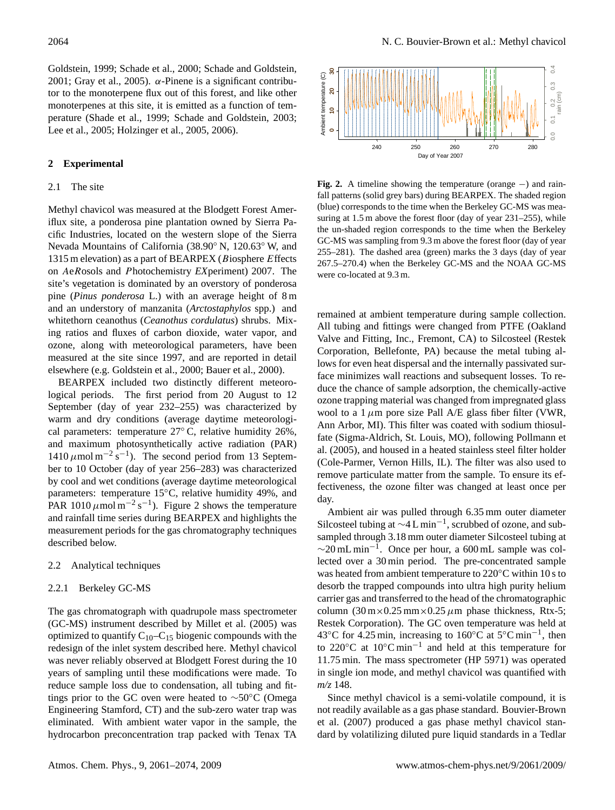Goldstein, 1999; Schade et al., 2000; Schade and Goldstein, 2001; Gray et al., 2005).  $\alpha$ -Pinene is a significant contributor to the monoterpene flux out of this forest, and like other monoterpenes at this site, it is emitted as a function of temperature (Shade et al., 1999; Schade and Goldstein, 2003; Lee et al., 2005; Holzinger et al., 2005, 2006).

# **2 Experimental**

#### 2.1 The site

Methyl chavicol was measured at the Blodgett Forest Ameriflux site, a ponderosa pine plantation owned by Sierra Pacific Industries, located on the western slope of the Sierra Nevada Mountains of California (38.90◦ N, 120.63◦ W, and 1315 m elevation) as a part of BEARPEX (Biosphere Effects on AeRosols and Photochemistry *EX*periment) 2007. The site's vegetation is dominated by an overstory of ponderosa pine (*Pinus ponderosa* L.) with an average height of 8 m and an understory of manzanita (*Arctostaphylos* spp.) and whitethorn ceanothus (*Ceanothus cordulatus*) shrubs. Mixing ratios and fluxes of carbon dioxide, water vapor, and ozone, along with meteorological parameters, have been measured at the site since 1997, and are reported in detail elsewhere (e.g. Goldstein et al., 2000; Bauer et al., 2000). Above the mode is the solution of the state and solution of the control of the model of the model of the model of the model of the model of the model of the model of the model of the model of the form and the direct and t

BEARPEX included two distinctly different meteorological periods. The first period from 20 August to 12 September (day of year 232–255) was characterized by warm and dry conditions (average daytime meteorological parameters: temperature 27◦ C, relative humidity 26%, and maximum photosynthetically active radiation (PAR)  $1410 \,\mu$ mol m<sup>-2</sup> s<sup>-1</sup>). The second period from 13 September to 10 October (day of year 256–283) was characterized by cool and wet conditions (average daytime meteorological parameters: temperature 15◦C, relative humidity 49%, and PAR 1010  $\mu$ mol m<sup>-2</sup> s<sup>-1</sup>). Figure 2 shows the temperature and rainfall time series during BEARPEX and highlights the measurement periods for the gas chromatography techniques described below.

### 2.2 Analytical techniques

#### 2.2.1 Berkeley GC-MS

The gas chromatograph with quadrupole mass spectrometer (GC-MS) instrument described by Millet et al. (2005) was optimized to quantify  $C_{10}-C_{15}$  biogenic compounds with the redesign of the inlet system described here. Methyl chavicol was never reliably observed at Blodgett Forest during the 10 years of sampling until these modifications were made. To reduce sample loss due to condensation, all tubing and fittings prior to the GC oven were heated to ∼50◦C (Omega Engineering Stamford, CT) and the sub-zero water trap was eliminated. With ambient water vapor in the sample, the



**Fig. 2.** A timeline showing the temperature (orange −) and rainfall patterns (solid grey bars) during BEARPEX. The shaded region (blue) corresponds to the time when the Berkeley GC-MS was measuring at 1.5 m above the forest floor (day of year 231–255), while the un-shaded region corresponds to the time when the Berkeley GC-MS was sampling from 9.3 m above the forest floor (day of year 255–281). The dashed area (green) marks the 3 days (day of year 267.5–270.4) when the Berkeley GC-MS and the NOAA GC-MS were co-located at 9.3 m.

remained at ambient temperature during sample collection. All tubing and fittings were changed from PTFE (Oakland Valve and Fitting, Inc., Fremont, CA) to Silcosteel (Restek Corporation, Bellefonte, PA) because the metal tubing allows for even heat dispersal and the internally passivated surface minimizes wall reactions and subsequent losses. To reduce the chance of sample adsorption, the chemically-active ozone trapping material was changed from impregnated glass wool to a  $1 \mu m$  pore size Pall A/E glass fiber filter (VWR, Ann Arbor, MI). This filter was coated with sodium thiosulfate (Sigma-Aldrich, St. Louis, MO), following Pollmann et al. (2005), and housed in a heated stainless steel filter holder (Cole-Parmer, Vernon Hills, IL). The filter was also used to remove particulate matter from the sample. To ensure its effectiveness, the ozone filter was changed at least once per day.

Ambient air was pulled through 6.35 mm outer diameter Silcosteel tubing at ∼4 L min−<sup>1</sup> , scrubbed of ozone, and subsampled through 3.18 mm outer diameter Silcosteel tubing at  $\sim$ 20 mL min<sup>-1</sup>. Once per hour, a 600 mL sample was collected over a 30 min period. The pre-concentrated sample was heated from ambient temperature to 220°C within 10 s to desorb the trapped compounds into ultra high purity helium carrier gas and transferred to the head of the chromatographic column  $(30 \text{ m} \times 0.25 \text{ mm} \times 0.25 \mu \text{m}$  phase thickness, Rtx-5; Restek Corporation). The GC oven temperature was held at 43◦C for 4.25 min, increasing to 160◦C at 5◦C min−<sup>1</sup> , then to 220◦C at 10◦C min−<sup>1</sup> and held at this temperature for 11.75 min. The mass spectrometer (HP 5971) was operated in single ion mode, and methyl chavicol was quantified with *m/z* 148.

Since methyl chavicol is a semi-volatile compound, it is not readily available as a gas phase standard. Bouvier-Brown et al. (2007) produced a gas phase methyl chavicol standard by volatilizing diluted pure liquid standards in a Tedlar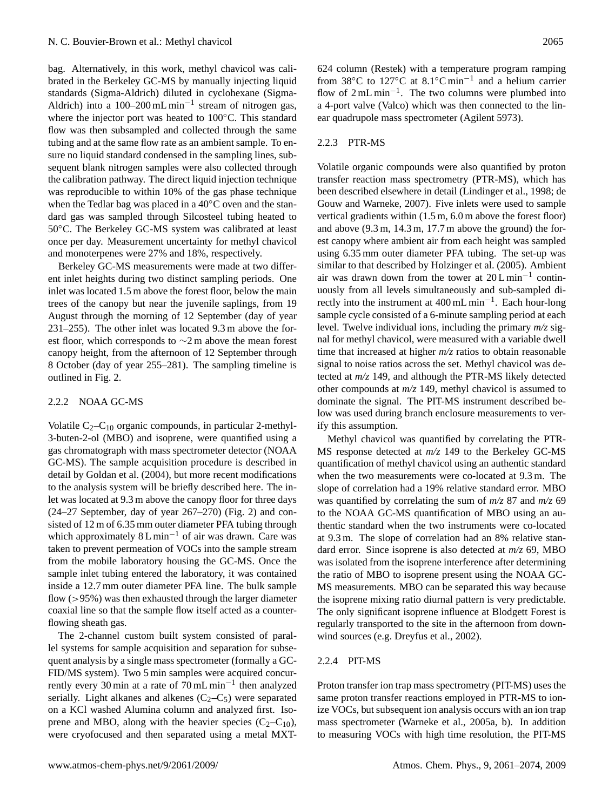bag. Alternatively, in this work, methyl chavicol was calibrated in the Berkeley GC-MS by manually injecting liquid standards (Sigma-Aldrich) diluted in cyclohexane (Sigma-Aldrich) into a 100–200 mL min<sup>-1</sup> stream of nitrogen gas, where the injector port was heated to 100 °C. This standard flow was then subsampled and collected through the same tubing and at the same flow rate as an ambient sample. To ensure no liquid standard condensed in the sampling lines, subsequent blank nitrogen samples were also collected through the calibration pathway. The direct liquid injection technique was reproducible to within 10% of the gas phase technique when the Tedlar bag was placed in a 40◦C oven and the standard gas was sampled through Silcosteel tubing heated to 50◦C. The Berkeley GC-MS system was calibrated at least once per day. Measurement uncertainty for methyl chavicol and monoterpenes were 27% and 18%, respectively.

Berkeley GC-MS measurements were made at two different inlet heights during two distinct sampling periods. One inlet was located 1.5 m above the forest floor, below the main trees of the canopy but near the juvenile saplings, from 19 August through the morning of 12 September (day of year 231–255). The other inlet was located 9.3 m above the forest floor, which corresponds to ∼2 m above the mean forest canopy height, from the afternoon of 12 September through 8 October (day of year 255–281). The sampling timeline is outlined in Fig. 2.

#### 2.2.2 NOAA GC-MS

Volatile  $C_2 - C_{10}$  organic compounds, in particular 2-methyl-3-buten-2-ol (MBO) and isoprene, were quantified using a gas chromatograph with mass spectrometer detector (NOAA GC-MS). The sample acquisition procedure is described in detail by Goldan et al. (2004), but more recent modifications to the analysis system will be briefly described here. The inlet was located at 9.3 m above the canopy floor for three days (24–27 September, day of year 267–270) (Fig. 2) and consisted of 12 m of 6.35 mm outer diameter PFA tubing through which approximately  $8 L \text{min}^{-1}$  of air was drawn. Care was taken to prevent permeation of VOCs into the sample stream from the mobile laboratory housing the GC-MS. Once the sample inlet tubing entered the laboratory, it was contained inside a 12.7 mm outer diameter PFA line. The bulk sample flow  $(>95\%)$  was then exhausted through the larger diameter coaxial line so that the sample flow itself acted as a counterflowing sheath gas.

The 2-channel custom built system consisted of parallel systems for sample acquisition and separation for subsequent analysis by a single mass spectrometer (formally a GC-FID/MS system). Two 5 min samples were acquired concurrently every 30 min at a rate of 70 mL min−<sup>1</sup> then analyzed serially. Light alkanes and alkenes  $(C_2-C_5)$  were separated on a KCl washed Alumina column and analyzed first. Isoprene and MBO, along with the heavier species  $(C_2-C_{10})$ , were cryofocused and then separated using a metal MXT- 624 column (Restek) with a temperature program ramping from 38 $\rm{°C}$  to 127 $\rm{°C}$  at 8.1 $\rm{°C}$  min<sup>-1</sup> and a helium carrier flow of 2 mL min−<sup>1</sup> . The two columns were plumbed into a 4-port valve (Valco) which was then connected to the linear quadrupole mass spectrometer (Agilent 5973).

# 2.2.3 PTR-MS

Volatile organic compounds were also quantified by proton transfer reaction mass spectrometry (PTR-MS), which has been described elsewhere in detail (Lindinger et al., 1998; de Gouw and Warneke, 2007). Five inlets were used to sample vertical gradients within (1.5 m, 6.0 m above the forest floor) and above (9.3 m, 14.3 m, 17.7 m above the ground) the forest canopy where ambient air from each height was sampled using 6.35 mm outer diameter PFA tubing. The set-up was similar to that described by Holzinger et al. (2005). Ambient air was drawn down from the tower at 20 L min−<sup>1</sup> continuously from all levels simultaneously and sub-sampled directly into the instrument at 400 mL min−<sup>1</sup> . Each hour-long sample cycle consisted of a 6-minute sampling period at each level. Twelve individual ions, including the primary *m/z* signal for methyl chavicol, were measured with a variable dwell time that increased at higher *m/z* ratios to obtain reasonable signal to noise ratios across the set. Methyl chavicol was detected at *m/z* 149, and although the PTR-MS likely detected other compounds at *m/z* 149, methyl chavicol is assumed to dominate the signal. The PIT-MS instrument described below was used during branch enclosure measurements to verify this assumption.

Methyl chavicol was quantified by correlating the PTR-MS response detected at *m/z* 149 to the Berkeley GC-MS quantification of methyl chavicol using an authentic standard when the two measurements were co-located at 9.3 m. The slope of correlation had a 19% relative standard error. MBO was quantified by correlating the sum of *m/z* 87 and *m/z* 69 to the NOAA GC-MS quantification of MBO using an authentic standard when the two instruments were co-located at 9.3 m. The slope of correlation had an 8% relative standard error. Since isoprene is also detected at *m/z* 69, MBO was isolated from the isoprene interference after determining the ratio of MBO to isoprene present using the NOAA GC-MS measurements. MBO can be separated this way because the isoprene mixing ratio diurnal pattern is very predictable. The only significant isoprene influence at Blodgett Forest is regularly transported to the site in the afternoon from downwind sources (e.g. Dreyfus et al., 2002).

## 2.2.4 PIT-MS

Proton transfer ion trap mass spectrometry (PIT-MS) uses the same proton transfer reactions employed in PTR-MS to ionize VOCs, but subsequent ion analysis occurs with an ion trap mass spectrometer (Warneke et al., 2005a, b). In addition to measuring VOCs with high time resolution, the PIT-MS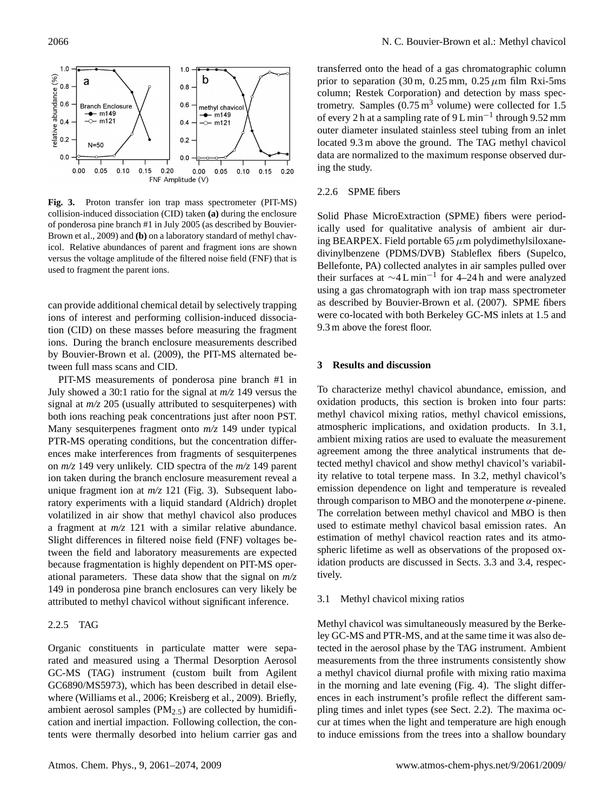

**Fig. 3.** Proton transfer ion trap mass spectrometer (PIT-MS) collision-induced dissociation (CID) taken **(a)** during the enclosure of ponderosa pine branch #1 in July 2005 (as described by Bouvier-Brown et al., 2009) and **(b)** on a laboratory standard of methyl chavicol. Relative abundances of parent and fragment ions are shown versus the voltage amplitude of the filtered noise field (FNF) that is used to fragment the parent ions.

can provide additional chemical detail by selectively trapping ions of interest and performing collision-induced dissociation (CID) on these masses before measuring the fragment ions. During the branch enclosure measurements described by Bouvier-Brown et al. (2009), the PIT-MS alternated between full mass scans and CID.

PIT-MS measurements of ponderosa pine branch #1 in July showed a 30:1 ratio for the signal at *m/z* 149 versus the signal at *m/z* 205 (usually attributed to sesquiterpenes) with both ions reaching peak concentrations just after noon PST. Many sesquiterpenes fragment onto *m/z* 149 under typical PTR-MS operating conditions, but the concentration differences make interferences from fragments of sesquiterpenes on *m/z* 149 very unlikely. CID spectra of the *m/z* 149 parent ion taken during the branch enclosure measurement reveal a unique fragment ion at  $m/z$  121 (Fig. 3). Subsequent laboratory experiments with a liquid standard (Aldrich) droplet volatilized in air show that methyl chavicol also produces a fragment at *m/z* 121 with a similar relative abundance. Slight differences in filtered noise field (FNF) voltages between the field and laboratory measurements are expected because fragmentation is highly dependent on PIT-MS operational parameters. These data show that the signal on *m/z* 149 in ponderosa pine branch enclosures can very likely be attributed to methyl chavicol without significant inference.

## 2.2.5 TAG

Organic constituents in particulate matter were separated and measured using a Thermal Desorption Aerosol GC-MS (TAG) instrument (custom built from Agilent GC6890/MS5973), which has been described in detail elsewhere (Williams et al., 2006; Kreisberg et al., 2009). Briefly, ambient aerosol samples ( $PM<sub>2.5</sub>$ ) are collected by humidification and inertial impaction. Following collection, the contents were thermally desorbed into helium carrier gas and transferred onto the head of a gas chromatographic column prior to separation (30 m,  $0.25$  mm,  $0.25 \mu$ m film Rxi-5ms column; Restek Corporation) and detection by mass spectrometry. Samples  $(0.75 \text{ m}^3 \text{ volume})$  were collected for 1.5 of every 2 h at a sampling rate of 9 L min<sup>-1</sup> through 9.52 mm outer diameter insulated stainless steel tubing from an inlet located 9.3 m above the ground. The TAG methyl chavicol data are normalized to the maximum response observed during the study.

# 2.2.6 SPME fibers

Solid Phase MicroExtraction (SPME) fibers were periodically used for qualitative analysis of ambient air during BEARPEX. Field portable 65  $\mu$ m polydimethylsiloxanedivinylbenzene (PDMS/DVB) Stableflex fibers (Supelco, Bellefonte, PA) collected analytes in air samples pulled over their surfaces at ∼4 L min−<sup>1</sup> for 4–24 h and were analyzed using a gas chromatograph with ion trap mass spectrometer as described by Bouvier-Brown et al. (2007). SPME fibers were co-located with both Berkeley GC-MS inlets at 1.5 and 9.3 m above the forest floor.

### **3 Results and discussion**

To characterize methyl chavicol abundance, emission, and oxidation products, this section is broken into four parts: methyl chavicol mixing ratios, methyl chavicol emissions, atmospheric implications, and oxidation products. In 3.1, ambient mixing ratios are used to evaluate the measurement agreement among the three analytical instruments that detected methyl chavicol and show methyl chavicol's variability relative to total terpene mass. In 3.2, methyl chavicol's emission dependence on light and temperature is revealed through comparison to MBO and the monoterpene  $\alpha$ -pinene. The correlation between methyl chavicol and MBO is then used to estimate methyl chavicol basal emission rates. An estimation of methyl chavicol reaction rates and its atmospheric lifetime as well as observations of the proposed oxidation products are discussed in Sects. 3.3 and 3.4, respectively.

#### 3.1 Methyl chavicol mixing ratios

Methyl chavicol was simultaneously measured by the Berkeley GC-MS and PTR-MS, and at the same time it was also detected in the aerosol phase by the TAG instrument. Ambient measurements from the three instruments consistently show a methyl chavicol diurnal profile with mixing ratio maxima in the morning and late evening (Fig. 4). The slight differences in each instrument's profile reflect the different sampling times and inlet types (see Sect. 2.2). The maxima occur at times when the light and temperature are high enough to induce emissions from the trees into a shallow boundary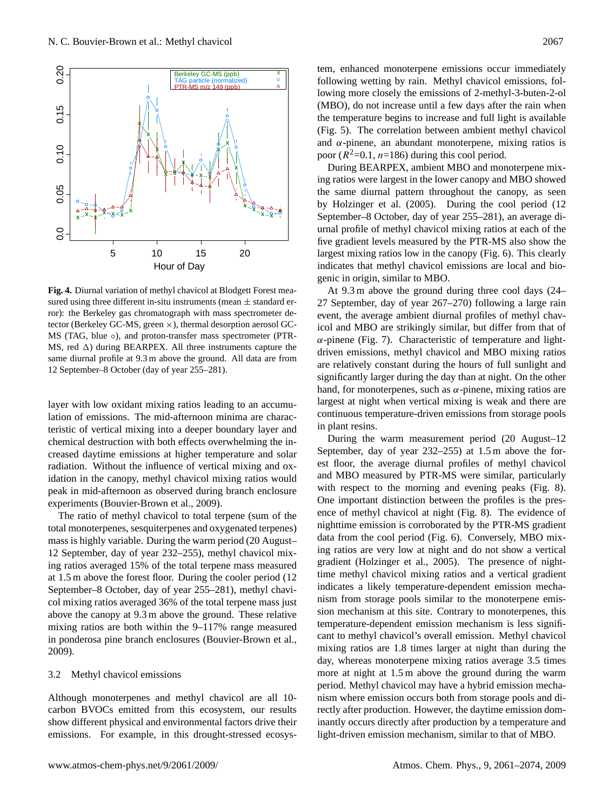

**Fig. 4.** Diurnal variation of methyl chavicol at Blodgett Forest measured using three different in-situ instruments (mean  $\pm$  standard error): the Berkeley gas chromatograph with mass spectrometer detector (Berkeley GC-MS, green ×), thermal desorption aerosol GC-MS (TAG, blue  $\circ$ ), and proton-transfer mass spectrometer (PTR-MS, red  $\Delta$ ) during BEARPEX. All three instruments capture the same diurnal profile at 9.3 m above the ground. All data are from 12 September–8 October (day of year 255–281).

layer with low oxidant mixing ratios leading to an accumulation of emissions. The mid-afternoon minima are characteristic of vertical mixing into a deeper boundary layer and chemical destruction with both effects overwhelming the increased daytime emissions at higher temperature and solar radiation. Without the influence of vertical mixing and oxidation in the canopy, methyl chavicol mixing ratios would peak in mid-afternoon as observed during branch enclosure experiments (Bouvier-Brown et al., 2009).

The ratio of methyl chavicol to total terpene (sum of the total monoterpenes, sesquiterpenes and oxygenated terpenes) mass is highly variable. During the warm period (20 August– 12 September, day of year 232–255), methyl chavicol mixing ratios averaged 15% of the total terpene mass measured at 1.5 m above the forest floor. During the cooler period (12 September–8 October, day of year 255–281), methyl chavicol mixing ratios averaged 36% of the total terpene mass just above the canopy at 9.3 m above the ground. These relative mixing ratios are both within the 9–117% range measured in ponderosa pine branch enclosures (Bouvier-Brown et al., 2009).

#### 3.2 Methyl chavicol emissions

Although monoterpenes and methyl chavicol are all 10 carbon BVOCs emitted from this ecosystem, our results show different physical and environmental factors drive their emissions. For example, in this drought-stressed ecosystem, enhanced monoterpene emissions occur immediately following wetting by rain. Methyl chavicol emissions, following more closely the emissions of 2-methyl-3-buten-2-ol (MBO), do not increase until a few days after the rain when the temperature begins to increase and full light is available (Fig. 5). The correlation between ambient methyl chavicol and  $\alpha$ -pinene, an abundant monoterpene, mixing ratios is poor  $(R^2=0.1, n=186)$  during this cool period.

During BEARPEX, ambient MBO and monoterpene mixing ratios were largest in the lower canopy and MBO showed the same diurnal pattern throughout the canopy, as seen by Holzinger et al. (2005). During the cool period (12 September–8 October, day of year 255–281), an average diurnal profile of methyl chavicol mixing ratios at each of the five gradient levels measured by the PTR-MS also show the largest mixing ratios low in the canopy (Fig. 6). This clearly indicates that methyl chavicol emissions are local and biogenic in origin, similar to MBO.

At 9.3 m above the ground during three cool days (24– 27 September, day of year 267–270) following a large rain event, the average ambient diurnal profiles of methyl chavicol and MBO are strikingly similar, but differ from that of  $\alpha$ -pinene (Fig. 7). Characteristic of temperature and lightdriven emissions, methyl chavicol and MBO mixing ratios are relatively constant during the hours of full sunlight and significantly larger during the day than at night. On the other hand, for monoterpenes, such as  $\alpha$ -pinene, mixing ratios are largest at night when vertical mixing is weak and there are continuous temperature-driven emissions from storage pools in plant resins.

During the warm measurement period (20 August–12 September, day of year 232–255) at 1.5 m above the forest floor, the average diurnal profiles of methyl chavicol and MBO measured by PTR-MS were similar, particularly with respect to the morning and evening peaks (Fig. 8). One important distinction between the profiles is the presence of methyl chavicol at night (Fig. 8). The evidence of nighttime emission is corroborated by the PTR-MS gradient data from the cool period (Fig. 6). Conversely, MBO mixing ratios are very low at night and do not show a vertical gradient (Holzinger et al., 2005). The presence of nighttime methyl chavicol mixing ratios and a vertical gradient indicates a likely temperature-dependent emission mechanism from storage pools similar to the monoterpene emission mechanism at this site. Contrary to monoterpenes, this temperature-dependent emission mechanism is less significant to methyl chavicol's overall emission. Methyl chavicol mixing ratios are 1.8 times larger at night than during the day, whereas monoterpene mixing ratios average 3.5 times more at night at 1.5 m above the ground during the warm period. Methyl chavicol may have a hybrid emission mechanism where emission occurs both from storage pools and directly after production. However, the daytime emission dominantly occurs directly after production by a temperature and light-driven emission mechanism, similar to that of MBO.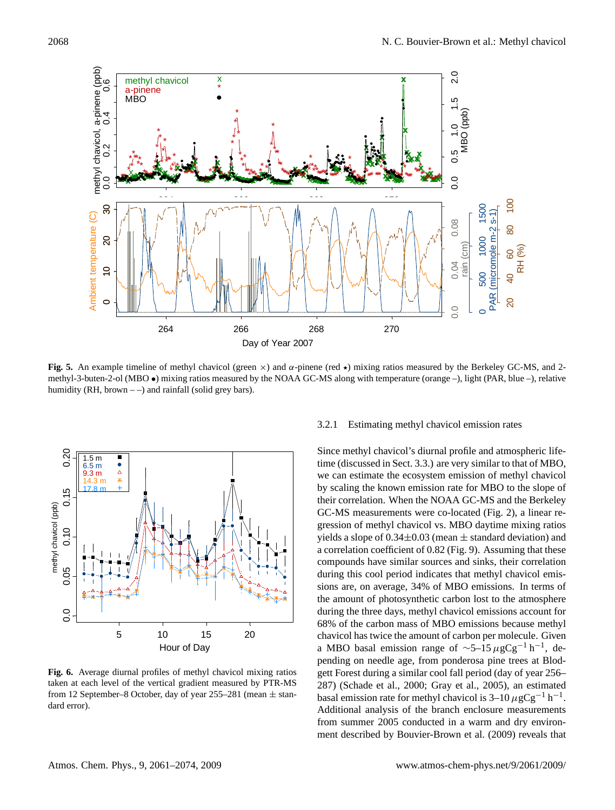

**Fig. 5.** An example timeline of methyl chavicol (green  $\times$ ) and  $\alpha$ -pinene (red  $\star$ ) mixing ratios measured by the Berkeley GC-MS, and 2methyl-3-buten-2-ol (MBO •) mixing ratios measured by the NOAA GC-MS along with temperature (orange –), light (PAR, blue –), relative humidity (RH, brown  $-$  ) and rainfall (solid grey bars).



**Fig. 6.** Average diurnal profiles of methyl chavicol mixing ratios taken at each level of the vertical gradient measured by PTR-MS from 12 September–8 October, day of year 255–281 (mean  $\pm$  standard error).

### 3.2.1 Estimating methyl chavicol emission rates

Since methyl chavicol's diurnal profile and atmospheric lifetime (discussed in Sect. 3.3.) are very similar to that of MBO, we can estimate the ecosystem emission of methyl chavicol by scaling the known emission rate for MBO to the slope of their correlation. When the NOAA GC-MS and the Berkeley GC-MS measurements were co-located (Fig. 2), a linear regression of methyl chavicol vs. MBO daytime mixing ratios yields a slope of  $0.34\pm0.03$  (mean  $\pm$  standard deviation) and a correlation coefficient of 0.82 (Fig. 9). Assuming that these compounds have similar sources and sinks, their correlation during this cool period indicates that methyl chavicol emissions are, on average, 34% of MBO emissions. In terms of the amount of photosynthetic carbon lost to the atmosphere during the three days, methyl chavicol emissions account for 68% of the carbon mass of MBO emissions because methyl chavicol has twice the amount of carbon per molecule. Given a MBO basal emission range of  $\sim$ 5–15 µgCg<sup>-1</sup> h<sup>-1</sup>, depending on needle age, from ponderosa pine trees at Blodgett Forest during a similar cool fall period (day of year 256– 287) (Schade et al., 2000; Gray et al., 2005), an estimated basal emission rate for methyl chavicol is  $3-10 \mu g Cg^{-1} h^{-1}$ . Additional analysis of the branch enclosure measurements from summer 2005 conducted in a warm and dry environment described by Bouvier-Brown et al. (2009) reveals that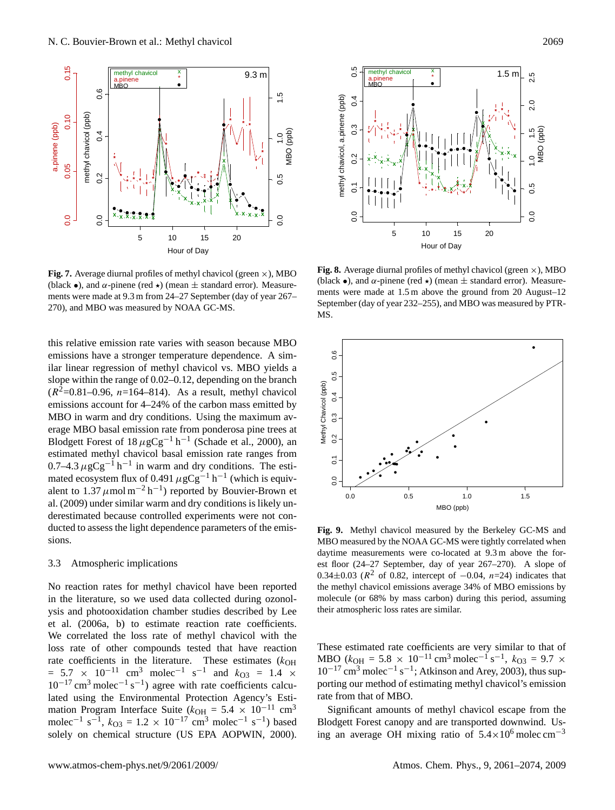

**Fig. 7.** Average diurnal profiles of methyl chavicol (green  $\times$ ), MBO (black •), and  $\alpha$ -pinene (red  $\star$ ) (mean  $\pm$  standard error). Measurements were made at 9.3 m from 24–27 September (day of year 267– 270), and MBO was measured by NOAA GC-MS.

this relative emission rate varies with season because MBO emissions have a stronger temperature dependence. A similar linear regression of methyl chavicol vs. MBO yields a slope within the range of 0.02–0.12, depending on the branch  $(R^2=0.81-0.96, n=164-814)$ . As a result, methyl chavicol emissions account for 4–24% of the carbon mass emitted by MBO in warm and dry conditions. Using the maximum average MBO basal emission rate from ponderosa pine trees at Blodgett Forest of  $18 \mu$ gCg<sup>-1</sup> h<sup>-1</sup> (Schade et al., 2000), an estimated methyl chavicol basal emission rate ranges from  $0.7-4.3 \,\mu$ gCg<sup>-1</sup> h<sup>-1</sup> in warm and dry conditions. The estimated ecosystem flux of 0.491  $\mu$ gCg<sup>-1</sup> h<sup>-1</sup> (which is equivalent to  $1.37 \mu$ mol m<sup>-2</sup> h<sup>-1</sup>) reported by Bouvier-Brown et al. (2009) under similar warm and dry conditions is likely underestimated because controlled experiments were not conducted to assess the light dependence parameters of the emissions.

#### 3.3 Atmospheric implications

No reaction rates for methyl chavicol have been reported in the literature, so we used data collected during ozonolysis and photooxidation chamber studies described by Lee et al. (2006a, b) to estimate reaction rate coefficients. We correlated the loss rate of methyl chavicol with the loss rate of other compounds tested that have reaction rate coefficients in the literature. These estimates  $(k_{OH}$  $= 5.7 \times 10^{-11}$  cm<sup>3</sup> molec<sup>-1</sup> s<sup>-1</sup> and  $k_{O3} = 1.4 \times$  $10^{-17}$  cm<sup>3</sup> molec<sup>-1</sup> s<sup>-1</sup>) agree with rate coefficients calculated using the Environmental Protection Agency's Estimation Program Interface Suite ( $k_{OH} = 5.4 \times 10^{-11}$  cm<sup>3</sup> molec<sup>-1</sup> s<sup>-1</sup>,  $k_{O3} = 1.2 \times 10^{-17}$  cm<sup>3</sup> molec<sup>-1</sup> s<sup>-1</sup>) based solely on chemical structure (US EPA AOPWIN, 2000).



**Fig. 8.** Average diurnal profiles of methyl chavicol (green  $\times$ ), MBO (black •), and  $\alpha$ -pinene (red  $\star$ ) (mean  $\pm$  standard error). Measurements were made at 1.5 m above the ground from 20 August–12 September (day of year 232–255), and MBO was measured by PTR-MS.



**Fig. 9.** Methyl chavicol measured by the Berkeley GC-MS and MBO measured by the NOAA GC-MS were tightly correlated when daytime measurements were co-located at 9.3 m above the forest floor (24–27 September, day of year 267–270). A slope of 0.34 $\pm$ 0.03 ( $R^2$  of 0.82, intercept of  $-0.04$ , n=24) indicates that the methyl chavicol emissions average 34% of MBO emissions by molecule (or 68% by mass carbon) during this period, assuming their atmospheric loss rates are similar.

These estimated rate coefficients are very similar to that of MBO ( $k_{\text{OH}} = 5.8 \times 10^{-11} \text{ cm}^3 \text{ molec}^{-1} \text{s}^{-1}, k_{\text{O}3} = 9.7 \times 10^{-11} \text{ cm}^3 \text{ mole}^{-1} \text{s}^{-1}$  $10^{-17}$  cm<sup>3</sup> molec<sup>-1</sup> s<sup>-1</sup>; Atkinson and Arey, 2003), thus supporting our method of estimating methyl chavicol's emission rate from that of MBO.

Significant amounts of methyl chavicol escape from the Blodgett Forest canopy and are transported downwind. Using an average OH mixing ratio of  $5.4 \times 10^6$  molec cm<sup>-3</sup>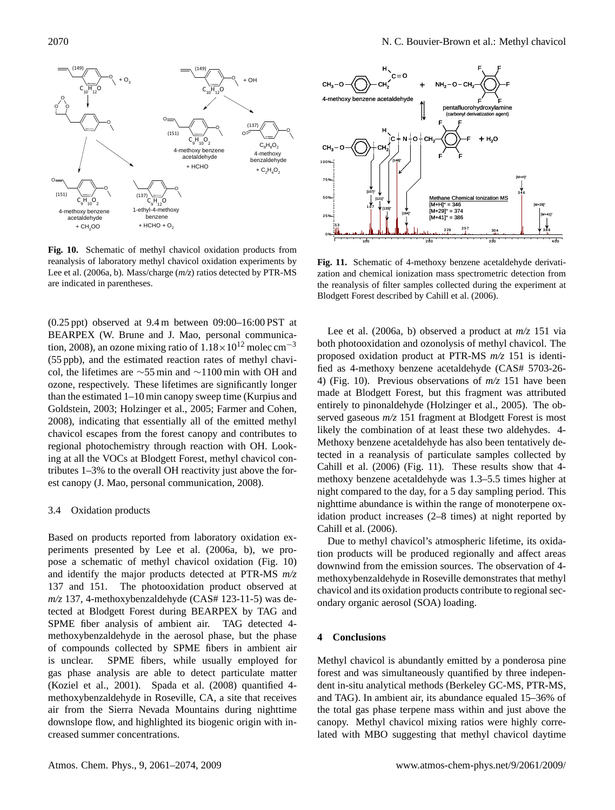

**Fig. 10.** Schematic of methyl chavicol oxidation products from reanalysis of laboratory methyl chavicol oxidation experiments by Lee et al. (2006a, b). Mass/charge (*m/z*) ratios detected by PTR-MS are indicated in parentheses.

(0.25 ppt) observed at 9.4 m between 09:00–16:00 PST at BEARPEX (W. Brune and J. Mao, personal communication, 2008), an ozone mixing ratio of  $1.18 \times 10^{12}$  molec cm<sup>-3</sup> (55 ppb), and the estimated reaction rates of methyl chavicol, the lifetimes are ∼55 min and ∼1100 min with OH and ozone, respectively. These lifetimes are significantly longer than the estimated 1–10 min canopy sweep time (Kurpius and Goldstein, 2003; Holzinger et al., 2005; Farmer and Cohen, 2008), indicating that essentially all of the emitted methyl chavicol escapes from the forest canopy and contributes to regional photochemistry through reaction with OH. Looking at all the VOCs at Blodgett Forest, methyl chavicol contributes 1–3% to the overall OH reactivity just above the forest canopy (J. Mao, personal communication, 2008).

#### 3.4 Oxidation products

Based on products reported from laboratory oxidation experiments presented by Lee et al. (2006a, b), we propose a schematic of methyl chavicol oxidation (Fig. 10) and identify the major products detected at PTR-MS *m/z* 137 and 151. The photooxidation product observed at *m/z* 137, 4-methoxybenzaldehyde (CAS# 123-11-5) was detected at Blodgett Forest during BEARPEX by TAG and SPME fiber analysis of ambient air. TAG detected 4 methoxybenzaldehyde in the aerosol phase, but the phase of compounds collected by SPME fibers in ambient air is unclear. SPME fibers, while usually employed for gas phase analysis are able to detect particulate matter (Koziel et al., 2001). Spada et al. (2008) quantified 4 methoxybenzaldehyde in Roseville, CA, a site that receives air from the Sierra Nevada Mountains during nighttime downslope flow, and highlighted its biogenic origin with increased summer concentrations.



**Fig. 11.** Schematic of 4-methoxy benzene acetaldehyde derivatization and chemical ionization mass spectrometric detection from the reanalysis of filter samples collected during the experiment at Blodgett Forest described by Cahill et al. (2006).

Lee et al. (2006a, b) observed a product at *m/z* 151 via both photooxidation and ozonolysis of methyl chavicol. The proposed oxidation product at PTR-MS *m/z* 151 is identified as 4-methoxy benzene acetaldehyde (CAS# 5703-26- 4) (Fig. 10). Previous observations of *m/z* 151 have been made at Blodgett Forest, but this fragment was attributed entirely to pinonaldehyde (Holzinger et al., 2005). The observed gaseous *m/z* 151 fragment at Blodgett Forest is most likely the combination of at least these two aldehydes. 4- Methoxy benzene acetaldehyde has also been tentatively detected in a reanalysis of particulate samples collected by Cahill et al. (2006) (Fig. 11). These results show that 4 methoxy benzene acetaldehyde was 1.3–5.5 times higher at night compared to the day, for a 5 day sampling period. This nighttime abundance is within the range of monoterpene oxidation product increases (2–8 times) at night reported by Cahill et al. (2006).

Due to methyl chavicol's atmospheric lifetime, its oxidation products will be produced regionally and affect areas downwind from the emission sources. The observation of 4 methoxybenzaldehyde in Roseville demonstrates that methyl chavicol and its oxidation products contribute to regional secondary organic aerosol (SOA) loading.

### **4 Conclusions**

Methyl chavicol is abundantly emitted by a ponderosa pine forest and was simultaneously quantified by three independent in-situ analytical methods (Berkeley GC-MS, PTR-MS, and TAG). In ambient air, its abundance equaled 15–36% of the total gas phase terpene mass within and just above the canopy. Methyl chavicol mixing ratios were highly correlated with MBO suggesting that methyl chavicol daytime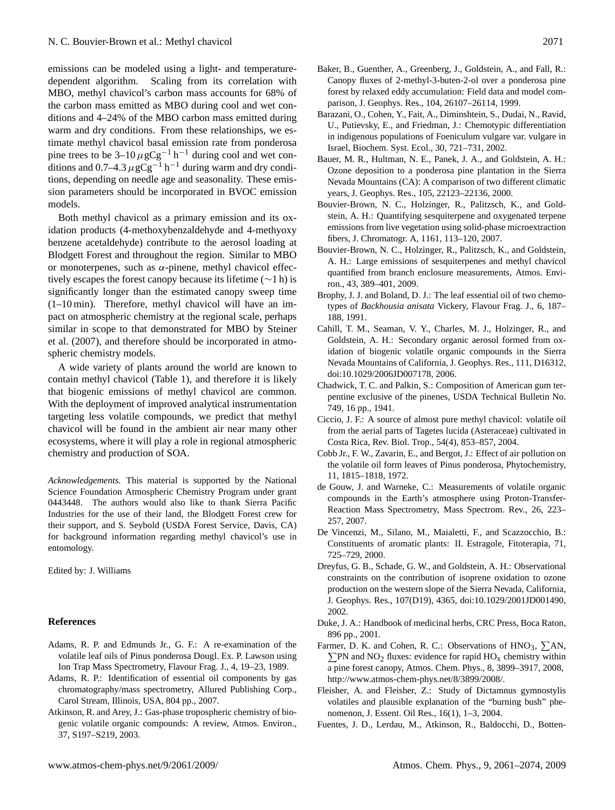emissions can be modeled using a light- and temperaturedependent algorithm. Scaling from its correlation with MBO, methyl chavicol's carbon mass accounts for 68% of the carbon mass emitted as MBO during cool and wet conditions and 4–24% of the MBO carbon mass emitted during warm and dry conditions. From these relationships, we estimate methyl chavicol basal emission rate from ponderosa pine trees to be  $3-10 \mu g C g^{-1} h^{-1}$  during cool and wet conditions and 0.7–4.3  $\mu$ gCg<sup>-1</sup> h<sup>-1</sup> during warm and dry conditions, depending on needle age and seasonality. These emission parameters should be incorporated in BVOC emission models.

Both methyl chavicol as a primary emission and its oxidation products (4-methoxybenzaldehyde and 4-methyoxy benzene acetaldehyde) contribute to the aerosol loading at Blodgett Forest and throughout the region. Similar to MBO or monoterpenes, such as  $\alpha$ -pinene, methyl chavicol effectively escapes the forest canopy because its lifetime (∼1 h) is significantly longer than the estimated canopy sweep time (1–10 min). Therefore, methyl chavicol will have an impact on atmospheric chemistry at the regional scale, perhaps similar in scope to that demonstrated for MBO by Steiner et al. (2007), and therefore should be incorporated in atmospheric chemistry models.

A wide variety of plants around the world are known to contain methyl chavicol (Table 1), and therefore it is likely that biogenic emissions of methyl chavicol are common. With the deployment of improved analytical instrumentation targeting less volatile compounds, we predict that methyl chavicol will be found in the ambient air near many other ecosystems, where it will play a role in regional atmospheric chemistry and production of SOA.

*Acknowledgements.* This material is supported by the National Science Foundation Atmospheric Chemistry Program under grant 0443448. The authors would also like to thank Sierra Pacific Industries for the use of their land, the Blodgett Forest crew for their support, and S. Seybold (USDA Forest Service, Davis, CA) for background information regarding methyl chavicol's use in entomology.

Edited by: J. Williams

## **References**

- Adams, R. P. and Edmunds Jr., G. F.: A re-examination of the volatile leaf oils of Pinus ponderosa Dougl. Ex. P. Lawson using Ion Trap Mass Spectrometry, Flavour Frag. J., 4, 19–23, 1989.
- Adams, R. P.: Identification of essential oil components by gas chromatography/mass spectrometry, Allured Publishing Corp., Carol Stream, Illinois, USA, 804 pp., 2007.
- Atkinson, R. and Arey, J.: Gas-phase tropospheric chemistry of biogenic volatile organic compounds: A review, Atmos. Environ., 37, S197–S219, 2003.
- Baker, B., Guenther, A., Greenberg, J., Goldstein, A., and Fall, R.: Canopy fluxes of 2-methyl-3-buten-2-ol over a ponderosa pine forest by relaxed eddy accumulation: Field data and model comparison, J. Geophys. Res., 104, 26107–26114, 1999.
- Barazani, O., Cohen, Y., Fait, A., Diminshtein, S., Dudai, N., Ravid, U., Putievsky, E., and Friedman, J.: Chemotypic differentiation in indigenous populations of Foeniculum vulgare var. vulgare in Israel, Biochem. Syst. Ecol., 30, 721–731, 2002.
- Bauer, M. R., Hultman, N. E., Panek, J. A., and Goldstein, A. H.: Ozone deposition to a ponderosa pine plantation in the Sierra Nevada Mountains (CA): A comparison of two different climatic years, J. Geophys. Res., 105, 22123–22136, 2000.
- Bouvier-Brown, N. C., Holzinger, R., Palitzsch, K., and Goldstein, A. H.: Quantifying sesquiterpene and oxygenated terpene emissions from live vegetation using solid-phase microextraction fibers, J. Chromatogr. A, 1161, 113–120, 2007.
- Bouvier-Brown, N. C., Holzinger, R., Palitzsch, K., and Goldstein, A. H.: Large emissions of sesquiterpenes and methyl chavicol quantified from branch enclosure measurements, Atmos. Environ., 43, 389–401, 2009.
- Brophy, J. J. and Boland, D. J.: The leaf essential oil of two chemotypes of *Backhousia anisata* Vickery, Flavour Frag. J., 6, 187– 188, 1991.
- Cahill, T. M., Seaman, V. Y., Charles, M. J., Holzinger, R., and Goldstein, A. H.: Secondary organic aerosol formed from oxidation of biogenic volatile organic compounds in the Sierra Nevada Mountains of California, J. Geophys. Res., 111, D16312, doi:10.1029/2006JD007178, 2006.
- Chadwick, T. C. and Palkin, S.: Composition of American gum terpentine exclusive of the pinenes, USDA Technical Bulletin No. 749, 16 pp., 1941.
- Ciccio, J. F.: A source of almost pure methyl chavicol: volatile oil from the aerial parts of Tagetes lucida (Asteraceae) cultivated in Costa Rica, Rev. Biol. Trop., 54(4), 853–857, 2004.
- Cobb Jr., F. W., Zavarin, E., and Bergot, J.: Effect of air pollution on the volatile oil form leaves of Pinus ponderosa, Phytochemistry, 11, 1815–1818, 1972.
- de Gouw, J. and Warneke, C.: Measurements of volatile organic compounds in the Earth's atmosphere using Proton-Transfer-Reaction Mass Spectrometry, Mass Spectrom. Rev., 26, 223– 257, 2007.
- De Vincenzi, M., Silano, M., Maialetti, F., and Scazzocchio, B.: Constituents of aromatic plants: II. Estragole, Fitoterapia, 71, 725–729, 2000.
- Dreyfus, G. B., Schade, G. W., and Goldstein, A. H.: Observational constraints on the contribution of isoprene oxidation to ozone production on the western slope of the Sierra Nevada, California, J. Geophys. Res., 107(D19), 4365, doi:10.1029/2001JD001490, 2002.
- Duke, J. A.: Handbook of medicinal herbs, CRC Press, Boca Raton, 896 pp., 2001.
- Farmer, D. K. and Cohen, R. C.: Observations of  $HNO<sub>3</sub>$ ,  $\Sigma AN$ ,  $\Sigma$ PN and NO<sub>2</sub> fluxes: evidence for rapid HO<sub>x</sub> chemistry within a pine forest canopy, Atmos. Chem. Phys., 8, 3899–3917, 2008, [http://www.atmos-chem-phys.net/8/3899/2008/.](http://www.atmos-chem-phys.net/8/3899/2008/)
- Fleisher, A. and Fleisher, Z.: Study of Dictamnus gymnostylis volatiles and plausible explanation of the "burning bush" phenomenon, J. Essent. Oil Res., 16(1), 1–3, 2004.
- Fuentes, J. D., Lerdau, M., Atkinson, R., Baldocchi, D., Botten-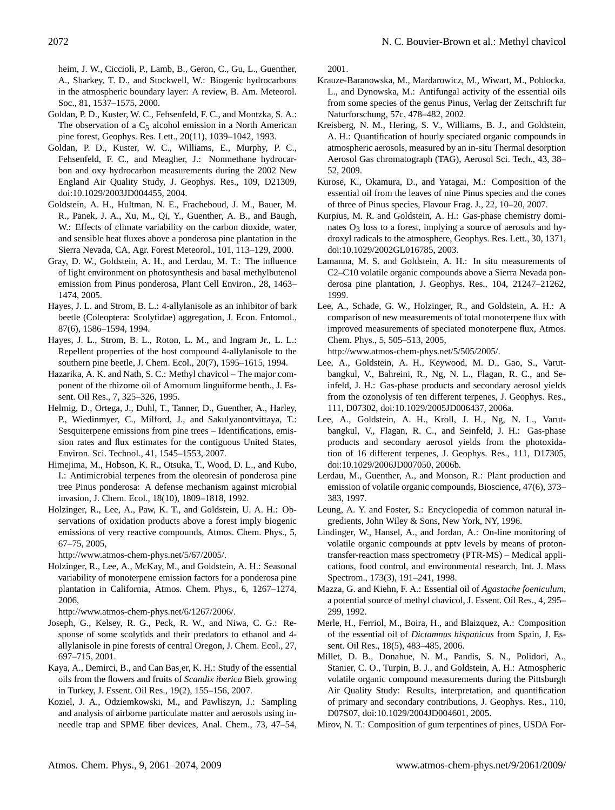heim, J. W., Ciccioli, P., Lamb, B., Geron, C., Gu, L., Guenther, A., Sharkey, T. D., and Stockwell, W.: Biogenic hydrocarbons in the atmospheric boundary layer: A review, B. Am. Meteorol. Soc., 81, 1537–1575, 2000.

- Goldan, P. D., Kuster, W. C., Fehsenfeld, F. C., and Montzka, S. A.: The observation of a  $C_5$  alcohol emission in a North American pine forest, Geophys. Res. Lett., 20(11), 1039–1042, 1993.
- Goldan, P. D., Kuster, W. C., Williams, E., Murphy, P. C., Fehsenfeld, F. C., and Meagher, J.: Nonmethane hydrocarbon and oxy hydrocarbon measurements during the 2002 New England Air Quality Study, J. Geophys. Res., 109, D21309, doi:10.1029/2003JD004455, 2004.
- Goldstein, A. H., Hultman, N. E., Fracheboud, J. M., Bauer, M. R., Panek, J. A., Xu, M., Qi, Y., Guenther, A. B., and Baugh, W.: Effects of climate variability on the carbon dioxide, water, and sensible heat fluxes above a ponderosa pine plantation in the Sierra Nevada, CA, Agr. Forest Meteorol., 101, 113–129, 2000.
- Gray, D. W., Goldstein, A. H., and Lerdau, M. T.: The influence of light environment on photosynthesis and basal methylbutenol emission from Pinus ponderosa, Plant Cell Environ., 28, 1463– 1474, 2005.
- Hayes, J. L. and Strom, B. L.: 4-allylanisole as an inhibitor of bark beetle (Coleoptera: Scolytidae) aggregation, J. Econ. Entomol., 87(6), 1586–1594, 1994.
- Hayes, J. L., Strom, B. L., Roton, L. M., and Ingram Jr., L. L.: Repellent properties of the host compound 4-allylanisole to the southern pine beetle, J. Chem. Ecol., 20(7), 1595–1615, 1994.
- Hazarika, A. K. and Nath, S. C.: Methyl chavicol The major component of the rhizome oil of Amomum linguiforme benth., J. Essent. Oil Res., 7, 325–326, 1995.
- Helmig, D., Ortega, J., Duhl, T., Tanner, D., Guenther, A., Harley, P., Wiedinmyer, C., Milford, J., and Sakulyanontvittaya, T.: Sesquiterpene emissions from pine trees – Identifications, emission rates and flux estimates for the contiguous United States, Environ. Sci. Technol., 41, 1545–1553, 2007.
- Himejima, M., Hobson, K. R., Otsuka, T., Wood, D. L., and Kubo, I.: Antimicrobial terpenes from the oleoresin of ponderosa pine tree Pinus ponderosa: A defense mechanism against microbial invasion, J. Chem. Ecol., 18(10), 1809–1818, 1992.
- Holzinger, R., Lee, A., Paw, K. T., and Goldstein, U. A. H.: Observations of oxidation products above a forest imply biogenic emissions of very reactive compounds, Atmos. Chem. Phys., 5, 67–75, 2005,

[http://www.atmos-chem-phys.net/5/67/2005/.](http://www.atmos-chem-phys.net/5/67/2005/)

Holzinger, R., Lee, A., McKay, M., and Goldstein, A. H.: Seasonal variability of monoterpene emission factors for a ponderosa pine plantation in California, Atmos. Chem. Phys., 6, 1267–1274, 2006,

[http://www.atmos-chem-phys.net/6/1267/2006/.](http://www.atmos-chem-phys.net/6/1267/2006/)

- Joseph, G., Kelsey, R. G., Peck, R. W., and Niwa, C. G.: Response of some scolytids and their predators to ethanol and 4 allylanisole in pine forests of central Oregon, J. Chem. Ecol., 27, 697–715, 2001.
- Kaya, A., Demirci, B., and Can Bas¸er, K. H.: Study of the essential oils from the flowers and fruits of *Scandix iberica* Bieb. growing in Turkey, J. Essent. Oil Res., 19(2), 155–156, 2007.
- Koziel, J. A., Odziemkowski, M., and Pawliszyn, J.: Sampling and analysis of airborne particulate matter and aerosols using inneedle trap and SPME fiber devices, Anal. Chem., 73, 47–54,

2001.

- Krauze-Baranowska, M., Mardarowicz, M., Wiwart, M., Poblocka, L., and Dynowska, M.: Antifungal activity of the essential oils from some species of the genus Pinus, Verlag der Zeitschrift fur Naturforschung, 57c, 478–482, 2002.
- Kreisberg, N. M., Hering, S. V., Williams, B. J., and Goldstein, A. H.: Quantification of hourly speciated organic compounds in atmospheric aerosols, measured by an in-situ Thermal desorption Aerosol Gas chromatograph (TAG), Aerosol Sci. Tech., 43, 38– 52, 2009.
- Kurose, K., Okamura, D., and Yatagai, M.: Composition of the essential oil from the leaves of nine Pinus species and the cones of three of Pinus species, Flavour Frag. J., 22, 10–20, 2007.
- Kurpius, M. R. and Goldstein, A. H.: Gas-phase chemistry dominates  $O_3$  loss to a forest, implying a source of aerosols and hydroxyl radicals to the atmosphere, Geophys. Res. Lett., 30, 1371, doi:10.1029/2002GL016785, 2003.
- Lamanna, M. S. and Goldstein, A. H.: In situ measurements of C2–C10 volatile organic compounds above a Sierra Nevada ponderosa pine plantation, J. Geophys. Res., 104, 21247–21262, 1999.
- Lee, A., Schade, G. W., Holzinger, R., and Goldstein, A. H.: A comparison of new measurements of total monoterpene flux with improved measurements of speciated monoterpene flux, Atmos. Chem. Phys., 5, 505–513, 2005,

[http://www.atmos-chem-phys.net/5/505/2005/.](http://www.atmos-chem-phys.net/5/505/2005/)

- Lee, A., Goldstein, A. H., Keywood, M. D., Gao, S., Varutbangkul, V., Bahreini, R., Ng, N. L., Flagan, R. C., and Seinfeld, J. H.: Gas-phase products and secondary aerosol yields from the ozonolysis of ten different terpenes, J. Geophys. Res., 111, D07302, doi:10.1029/2005JD006437, 2006a.
- Lee, A., Goldstein, A. H., Kroll, J. H., Ng, N. L., Varutbangkul, V., Flagan, R. C., and Seinfeld, J. H.: Gas-phase products and secondary aerosol yields from the photoxidation of 16 different terpenes, J. Geophys. Res., 111, D17305, doi:10.1029/2006JD007050, 2006b.
- Lerdau, M., Guenther, A., and Monson, R.: Plant production and emission of volatile organic compounds, Bioscience, 47(6), 373– 383, 1997.
- Leung, A. Y. and Foster, S.: Encyclopedia of common natural ingredients, John Wiley & Sons, New York, NY, 1996.
- Lindinger, W., Hansel, A., and Jordan, A.: On-line monitoring of volatile organic compounds at pptv levels by means of protontransfer-reaction mass spectrometry (PTR-MS) – Medical applications, food control, and environmental research, Int. J. Mass Spectrom., 173(3), 191–241, 1998.
- Mazza, G. and Kiehn, F. A.: Essential oil of *Agastache foeniculum*, a potential source of methyl chavicol, J. Essent. Oil Res., 4, 295– 299, 1992.
- Merle, H., Ferriol, M., Boira, H., and Blaizquez, A.: Composition of the essential oil of *Dictamnus hispanicus* from Spain, J. Essent. Oil Res., 18(5), 483–485, 2006.
- Millet, D. B., Donahue, N. M., Pandis, S. N., Polidori, A., Stanier, C. O., Turpin, B. J., and Goldstein, A. H.: Atmospheric volatile organic compound measurements during the Pittsburgh Air Quality Study: Results, interpretation, and quantification of primary and secondary contributions, J. Geophys. Res., 110, D07S07, doi:10.1029/2004JD004601, 2005.
- Mirov, N. T.: Composition of gum terpentines of pines, USDA For-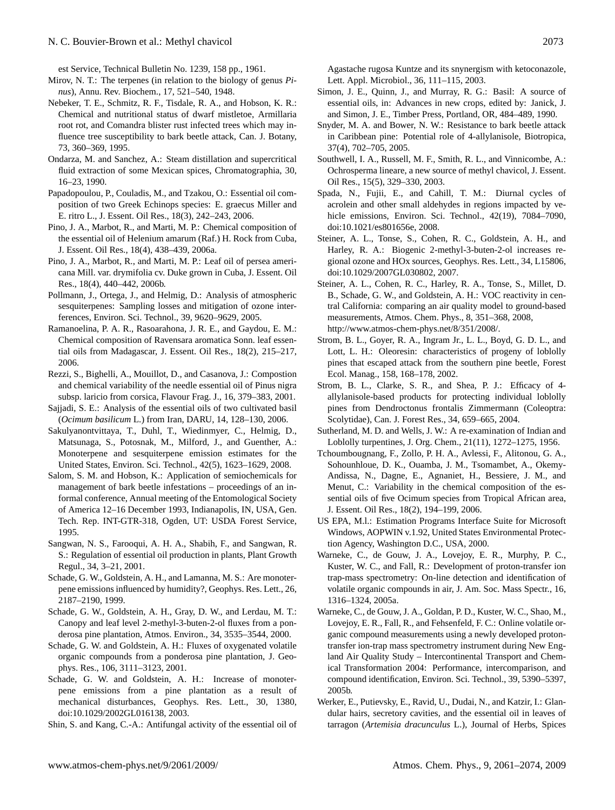est Service, Technical Bulletin No. 1239, 158 pp., 1961.

- Mirov, N. T.: The terpenes (in relation to the biology of genus *Pinus*), Annu. Rev. Biochem., 17, 521–540, 1948.
- Nebeker, T. E., Schmitz, R. F., Tisdale, R. A., and Hobson, K. R.: Chemical and nutritional status of dwarf mistletoe, Armillaria root rot, and Comandra blister rust infected trees which may influence tree susceptibility to bark beetle attack, Can. J. Botany, 73, 360–369, 1995.
- Ondarza, M. and Sanchez, A.: Steam distillation and supercritical fluid extraction of some Mexican spices, Chromatographia, 30, 16–23, 1990.
- Papadopoulou, P., Couladis, M., and Tzakou, O.: Essential oil composition of two Greek Echinops species: E. graecus Miller and E. ritro L., J. Essent. Oil Res., 18(3), 242–243, 2006.
- Pino, J. A., Marbot, R., and Marti, M. P.: Chemical composition of the essential oil of Helenium amarum (Raf.) H. Rock from Cuba, J. Essent. Oil Res., 18(4), 438–439, 2006a.
- Pino, J. A., Marbot, R., and Marti, M. P.: Leaf oil of persea americana Mill. var. drymifolia cv. Duke grown in Cuba, J. Essent. Oil Res., 18(4), 440–442, 2006b.
- Pollmann, J., Ortega, J., and Helmig, D.: Analysis of atmospheric sesquiterpenes: Sampling losses and mitigation of ozone interferences, Environ. Sci. Technol., 39, 9620–9629, 2005.
- Ramanoelina, P. A. R., Rasoarahona, J. R. E., and Gaydou, E. M.: Chemical composition of Ravensara aromatica Sonn. leaf essential oils from Madagascar, J. Essent. Oil Res., 18(2), 215–217, 2006.
- Rezzi, S., Bighelli, A., Mouillot, D., and Casanova, J.: Compostion and chemical variability of the needle essential oil of Pinus nigra subsp. laricio from corsica, Flavour Frag. J., 16, 379–383, 2001.
- Sajjadi, S. E.: Analysis of the essential oils of two cultivated basil (*Ocimum basilicum* L.) from Iran, DARU, 14, 128–130, 2006.
- Sakulyanontvittaya, T., Duhl, T., Wiedinmyer, C., Helmig, D., Matsunaga, S., Potosnak, M., Milford, J., and Guenther, A.: Monoterpene and sesquiterpene emission estimates for the United States, Environ. Sci. Technol., 42(5), 1623–1629, 2008.
- Salom, S. M. and Hobson, K.: Application of semiochemicals for management of bark beetle infestations – proceedings of an informal conference, Annual meeting of the Entomological Society of America 12–16 December 1993, Indianapolis, IN, USA, Gen. Tech. Rep. INT-GTR-318, Ogden, UT: USDA Forest Service, 1995.
- Sangwan, N. S., Farooqui, A. H. A., Shabih, F., and Sangwan, R. S.: Regulation of essential oil production in plants, Plant Growth Regul., 34, 3–21, 2001.
- Schade, G. W., Goldstein, A. H., and Lamanna, M. S.: Are monoterpene emissions influenced by humidity?, Geophys. Res. Lett., 26, 2187–2190, 1999.
- Schade, G. W., Goldstein, A. H., Gray, D. W., and Lerdau, M. T.: Canopy and leaf level 2-methyl-3-buten-2-ol fluxes from a ponderosa pine plantation, Atmos. Environ., 34, 3535–3544, 2000.
- Schade, G. W. and Goldstein, A. H.: Fluxes of oxygenated volatile organic compounds from a ponderosa pine plantation, J. Geophys. Res., 106, 3111–3123, 2001.
- Schade, G. W. and Goldstein, A. H.: Increase of monoterpene emissions from a pine plantation as a result of mechanical disturbances, Geophys. Res. Lett., 30, 1380, doi:10.1029/2002GL016138, 2003.
- Shin, S. and Kang, C.-A.: Antifungal activity of the essential oil of

Agastache rugosa Kuntze and its snynergism with ketoconazole, Lett. Appl. Microbiol., 36, 111–115, 2003.

- Simon, J. E., Quinn, J., and Murray, R. G.: Basil: A source of essential oils, in: Advances in new crops, edited by: Janick, J. and Simon, J. E., Timber Press, Portland, OR, 484–489, 1990.
- Snyder, M. A. and Bower, N. W.: Resistance to bark beetle attack in Caribbean pine: Potential role of 4-allylanisole, Biotropica, 37(4), 702–705, 2005.
- Southwell, I. A., Russell, M. F., Smith, R. L., and Vinnicombe, A.: Ochrosperma lineare, a new source of methyl chavicol, J. Essent. Oil Res., 15(5), 329–330, 2003.
- Spada, N., Fujii, E., and Cahill, T. M.: Diurnal cycles of acrolein and other small aldehydes in regions impacted by vehicle emissions, Environ. Sci. Technol., 42(19), 7084–7090, doi:10.1021/es801656e, 2008.
- Steiner, A. L., Tonse, S., Cohen, R. C., Goldstein, A. H., and Harley, R. A.: Biogenic 2-methyl-3-buten-2-ol increases regional ozone and HOx sources, Geophys. Res. Lett., 34, L15806, doi:10.1029/2007GL030802, 2007.
- Steiner, A. L., Cohen, R. C., Harley, R. A., Tonse, S., Millet, D. B., Schade, G. W., and Goldstein, A. H.: VOC reactivity in central California: comparing an air quality model to ground-based measurements, Atmos. Chem. Phys., 8, 351–368, 2008, [http://www.atmos-chem-phys.net/8/351/2008/.](http://www.atmos-chem-phys.net/8/351/2008/)
- Strom, B. L., Goyer, R. A., Ingram Jr., L. L., Boyd, G. D. L., and Lott, L. H.: Oleoresin: characteristics of progeny of loblolly pines that escaped attack from the southern pine beetle, Forest Ecol. Manag., 158, 168–178, 2002.
- Strom, B. L., Clarke, S. R., and Shea, P. J.: Efficacy of 4 allylanisole-based products for protecting individual loblolly pines from Dendroctonus frontalis Zimmermann (Coleoptra: Scolytidae), Can. J. Forest Res., 34, 659–665, 2004.
- Sutherland, M. D. and Wells, J. W.: A re-examination of Indian and Loblolly turpentines, J. Org. Chem., 21(11), 1272–1275, 1956.
- Tchoumbougnang, F., Zollo, P. H. A., Avlessi, F., Alitonou, G. A., Sohounhloue, D. K., Ouamba, J. M., Tsomambet, A., Okemy-Andissa, N., Dagne, E., Agnaniet, H., Bessiere, J. M., and Menut, C.: Variability in the chemical composition of the essential oils of five Ocimum species from Tropical African area, J. Essent. Oil Res., 18(2), 194–199, 2006.
- US EPA, M.l.: Estimation Programs Interface Suite for Microsoft Windows, AOPWIN v.1.92, United States Environmental Protection Agency, Washington D.C., USA, 2000.
- Warneke, C., de Gouw, J. A., Lovejoy, E. R., Murphy, P. C., Kuster, W. C., and Fall, R.: Development of proton-transfer ion trap-mass spectrometry: On-line detection and identification of volatile organic compounds in air, J. Am. Soc. Mass Spectr., 16, 1316–1324, 2005a.
- Warneke, C., de Gouw, J. A., Goldan, P. D., Kuster, W. C., Shao, M., Lovejoy, E. R., Fall, R., and Fehsenfeld, F. C.: Online volatile organic compound measurements using a newly developed protontransfer ion-trap mass spectrometry instrument during New England Air Quality Study – Intercontinental Transport and Chemical Transformation 2004: Performance, intercomparison, and compound identification, Environ. Sci. Technol., 39, 5390–5397, 2005b.
- Werker, E., Putievsky, E., Ravid, U., Dudai, N., and Katzir, I.: Glandular hairs, secretory cavities, and the essential oil in leaves of tarragon (*Artemisia dracunculus* L.), Journal of Herbs, Spices